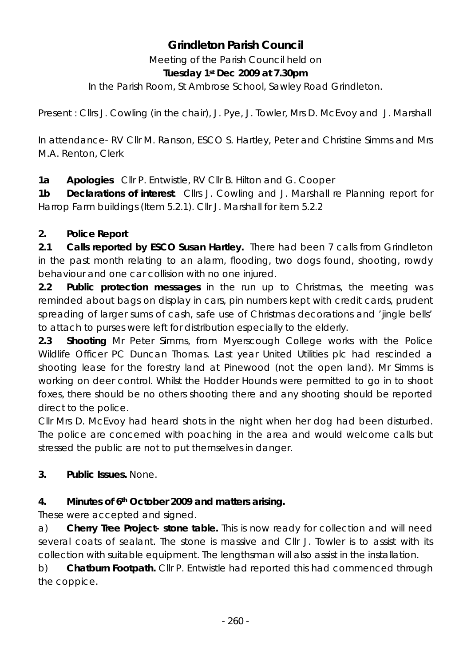# **Grindleton Parish Council**

Meeting of the Parish Council held on **Tuesday 1st Dec 2009 at 7.30pm** 

In the Parish Room, St Ambrose School, Sawley Road Grindleton.

Present : Cllrs J. Cowling (in the chair), J. Pye, J. Towler, Mrs D. McEvoy and J. Marshall

In attendance- RV Cllr M. Ranson, ESCO S. Hartley, Peter and Christine Simms and Mrs M.A. Renton, Clerk

**1a Apologies** Cllr P. Entwistle, RV Cllr B. Hilton and G. Cooper

**1b Declarations of interest**. Cllrs J. Cowling and J. Marshall re Planning report for Harrop Farm buildings (Item 5.2.1). Cllr J. Marshall for item 5.2.2

# **2. Police Report**

**2.1 Calls reported by ESCO Susan Hartley.** There had been 7 calls from Grindleton in the past month relating to an alarm, flooding, two dogs found, shooting, rowdy behaviour and one car collision with no one injured.

**2.2 Public protection messages** in the run up to Christmas, the meeting was reminded about bags on display in cars, pin numbers kept with credit cards, prudent spreading of larger sums of cash, safe use of Christmas decorations and 'jingle bells' to attach to purses were left for distribution especially to the elderly.

**2.3 Shooting** Mr Peter Simms, from Myerscough College works with the Police Wildlife Officer PC Duncan Thomas. Last year United Utilities plc had rescinded a shooting lease for the forestry land at Pinewood (not the open land). Mr Simms is working on deer control. Whilst the Hodder Hounds were permitted to go in to shoot foxes, there should be no others shooting there and any shooting should be reported direct to the police.

Cllr Mrs D. McEvoy had heard shots in the night when her dog had been disturbed. The police are concerned with poaching in the area and would welcome calls but stressed the public are not to put themselves in danger.

**3. Public Issues.** None.

# **4. Minutes of 6th October 2009 and matters arising.**

These were accepted and signed.

a) **Cherry Tree Project- stone table.** This is now ready for collection and will need several coats of sealant. The stone is massive and Cllr J. Towler is to assist with its collection with suitable equipment. The lengthsman will also assist in the installation.

b) **Chatburn Footpath.** Cllr P. Entwistle had reported this had commenced through the coppice.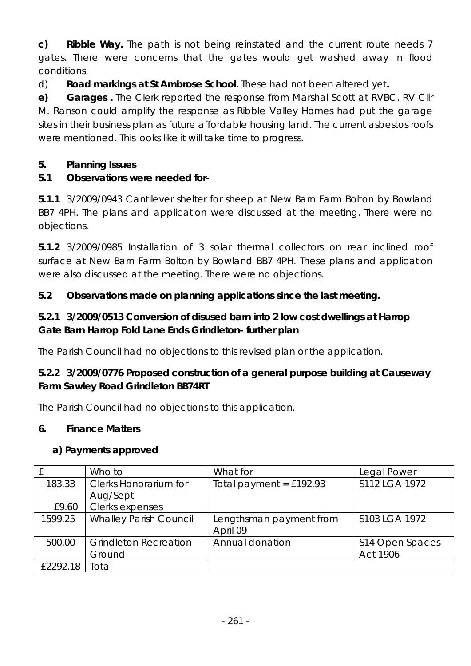**c) Ribble Way.** The path is not being reinstated and the current route needs 7 gates. There were concerns that the gates would get washed away in flood conditions.

d) **Road markings at St Ambrose School.** These had not been altered yet**.**

**e) Garages .** The Clerk reported the response from Marshal Scott at RVBC. RV Cllr M. Ranson could amplify the response as Ribble Valley Homes had put the garage sites in their business plan as future affordable housing land. The current asbestos roofs were mentioned. This looks like it will take time to progress.

# **5. Planning Issues**

# **5.1 Observations were needed for-**

**5.1.1** 3/2009/0943 Cantilever shelter for sheep at New Barn Farm Bolton by Bowland BB7 4PH. The plans and application were discussed at the meeting. There were no objections.

**5.1.2** 3/2009/0985 Installation of 3 solar thermal collectors on rear inclined roof surface at New Barn Farm Bolton by Bowland BB7 4PH. These plans and application were also discussed at the meeting. There were no objections.

# **5.2 Observations made on planning applications since the last meeting.**

# **5.2.1 3/2009/0513 Conversion of disused barn into 2 low cost dwellings at Harrop Gate Barn Harrop Fold Lane Ends Grindleton- further plan**

The Parish Council had no objections to this revised plan or the application.

# **5.2.2 3/2009/0776 Proposed construction of a general purpose building at Causeway Farm Sawley Road Grindleton BB74RT**

The Parish Council had no objections to this application.

# **6. Finance Matters**

# **a) Payments approved**

|          | Who to                        | What for                  | Legal Power     |
|----------|-------------------------------|---------------------------|-----------------|
| 183.33   | <b>Clerks Honorarium for</b>  | Total payment = $£192.93$ | S112 LGA 1972   |
|          | Aug/Sept                      |                           |                 |
| £9.60    | Clerks expenses               |                           |                 |
| 1599.25  | <b>Whalley Parish Council</b> | Lengthsman payment from   | S103 LGA 1972   |
|          |                               | April 09                  |                 |
| 500.00   | <b>Grindleton Recreation</b>  | Annual donation           | S14 Open Spaces |
|          | Ground                        |                           | <b>Act 1906</b> |
| £2292.18 | Total                         |                           |                 |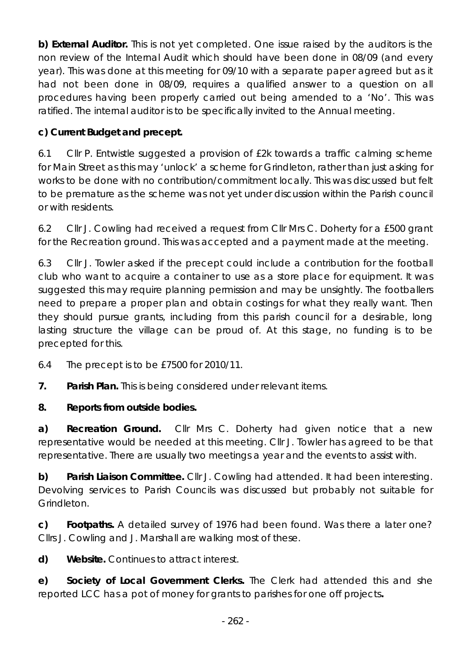**b) External Auditor.** This is not yet completed. One issue raised by the auditors is the non review of the Internal Audit which should have been done in 08/09 (and every year). This was done at this meeting for 09/10 with a separate paper agreed but as it had not been done in 08/09, requires a qualified answer to a question on all procedures having been properly carried out being amended to a 'No'. This was ratified. The internal auditor is to be specifically invited to the Annual meeting.

# **c) Current Budget and precept.**

6.1 Cllr P. Entwistle suggested a provision of £2k towards a traffic calming scheme for Main Street as this may 'unlock' a scheme for Grindleton, rather than just asking for works to be done with no contribution/commitment locally. This was discussed but felt to be premature as the scheme was not yet under discussion within the Parish council or with residents.

6.2 Cllr J. Cowling had received a request from Cllr Mrs C. Doherty for a £500 grant for the Recreation ground. This was accepted and a payment made at the meeting.

6.3 Cllr J. Towler asked if the precept could include a contribution for the football club who want to acquire a container to use as a store place for equipment. It was suggested this may require planning permission and may be unsightly. The footballers need to prepare a proper plan and obtain costings for what they really want. Then they should pursue grants, including from this parish council for a desirable, long lasting structure the village can be proud of. At this stage, no funding is to be precepted for this.

- 6.4 The precept is to be £7500 for 2010/11.
- **7. Parish Plan.** This is being considered under relevant items.
- **8. Reports from outside bodies.**

**a) Recreation Ground.** Cllr Mrs C. Doherty had given notice that a new representative would be needed at this meeting. Cllr J. Towler has agreed to be that representative. There are usually two meetings a year and the events to assist with.

**b) Parish Liaison Committee.** Cllr J. Cowling had attended. It had been interesting. Devolving services to Parish Councils was discussed but probably not suitable for Grindleton.

**c) Footpaths.** A detailed survey of 1976 had been found. Was there a later one? Cllrs J. Cowling and J. Marshall are walking most of these.

**d) Website.** Continues to attract interest.

**e) Society of Local Government Clerks.** The Clerk had attended this and she reported LCC has a pot of money for grants to parishes for one off projects**.**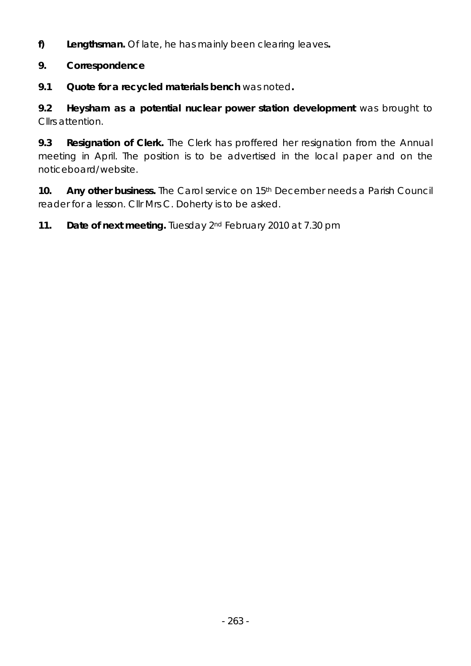**f) Lengthsman.** Of late, he has mainly been clearing leaves**.** 

## **9. Correspondence**

**9.1 Quote for a recycled materials bench** was noted**.** 

**9.2 Heysham as a potential nuclear power station development** was brought to Cllrs attention.

**9.3 Resignation of Clerk.** The Clerk has proffered her resignation from the Annual meeting in April. The position is to be advertised in the local paper and on the noticeboard/website.

**10.** Any other business. The Carol service on 15<sup>th</sup> December needs a Parish Council reader for a lesson. Cllr Mrs C. Doherty is to be asked.

**11. Date of next meeting.** Tuesday 2nd February 2010 at 7.30 pm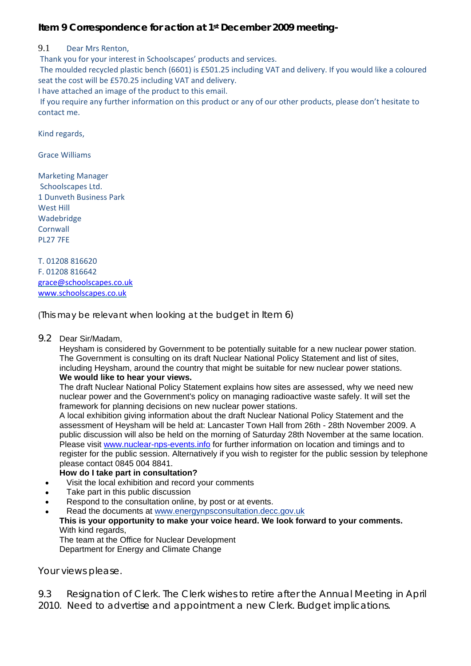#### **Item 9 Correspondence for action at 1st December 2009 meeting-**

#### 9.1 Dear Mrs Renton,

Thank you for your interest in Schoolscapes' products and services.

The moulded recycled plastic bench (6601) is £501.25 including VAT and delivery. If you would like a coloured seat the cost will be £570.25 including VAT and delivery.

I have attached an image of the product to this email.

If you require any further information on this product or any of our other products, please don't hesitate to contact me.

Kind regards,

Grace Williams

Marketing Manager Schoolscapes Ltd. 1 Dunveth Business Park West Hill Wadebridge Cornwall PL27 7FE

T. 01208 816620 F. 01208 816642 [grace@schoolscapes.co.uk](http://uk.mc871.mail.yahoo.com/mc/compose?to=sales@schoolscapes.co.uk) [www.schoolscapes.co.uk](http://www.schoolscapes.co.uk/)

(This may be relevant when looking at the budget in Item 6)

9.2 Dear Sir/Madam,

Heysham is considered by Government to be potentially suitable for a new nuclear power station. The Government is consulting on its draft Nuclear National Policy Statement and list of sites, including Heysham, around the country that might be suitable for new nuclear power stations. **We would like to hear your views.** 

The draft Nuclear National Policy Statement explains how sites are assessed, why we need new nuclear power and the Government's policy on managing radioactive waste safely. It will set the framework for planning decisions on new nuclear power stations.

A local exhibition giving information about the draft Nuclear National Policy Statement and the assessment of Heysham will be held at: Lancaster Town Hall from 26th - 28th November 2009. A public discussion will also be held on the morning of Saturday 28th November at the same location. Please visit [www.nuclear-nps-events.info](http://www.nuclear-nps-events.info/) for further information on location and timings and to register for the public session. Alternatively if you wish to register for the public session by telephone please contact 0845 004 8841.

#### **How do I take part in consultation?**

- Visit the local exhibition and record your comments
- Take part in this public discussion
- Respond to the consultation online, by post or at events.
- Read the documents at [www.energynpsconsultation.decc.gov.uk](http://www.energynpsconsultation.decc.gov.uk/) **This is your opportunity to make your voice heard. We look forward to your comments.**  With kind regards, The team at the Office for Nuclear Development Department for Energy and Climate Change

Your views please.

9.3 Resignation of Clerk. The Clerk wishes to retire after the Annual Meeting in April 2010. Need to advertise and appointment a new Clerk. Budget implications.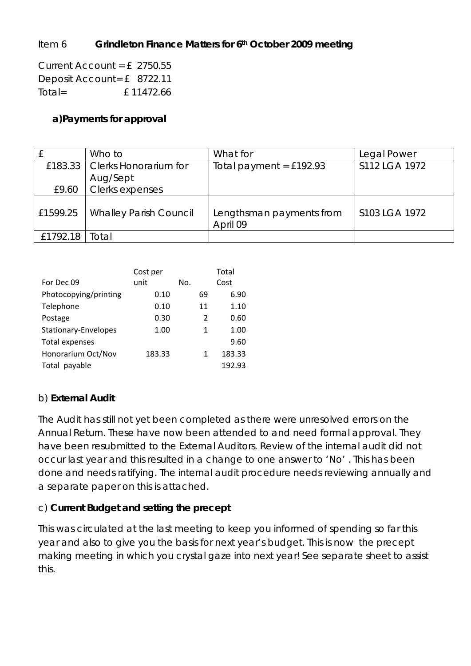#### Item 6 **Grindleton Finance Matters for 6th October 2009 meeting**

Current Account = £ 2750.55 Deposit Account= £ 8722.11  $Total =$   $f 11472.66$ 

#### **a)Payments for approval**

|                  | Who to                          | What for                  | Legal Power   |
|------------------|---------------------------------|---------------------------|---------------|
|                  | £183.33   Clerks Honorarium for | Total payment = $£192.93$ | S112 LGA 1972 |
|                  | Aug/Sept<br>Clerks expenses     |                           |               |
| £9.60            |                                 |                           |               |
| £1599.25         | <b>Whalley Parish Council</b>   | Lengthsman payments from  | S103 LGA 1972 |
|                  |                                 | April 09                  |               |
| £1792.18   Total |                                 |                           |               |

|                       | Cost per |     |    | Total  |
|-----------------------|----------|-----|----|--------|
| For Dec 09            | unit     | No. |    | Cost   |
| Photocopying/printing | 0.10     |     | 69 | 6.90   |
| Telephone             | 0.10     |     | 11 | 1.10   |
| Postage               | 0.30     |     | 2  | 0.60   |
| Stationary-Envelopes  | 1.00     |     | 1  | 1.00   |
| <b>Total expenses</b> |          |     |    | 9.60   |
| Honorarium Oct/Nov    | 183.33   |     | 1  | 183.33 |
| payable<br>Total      |          |     |    | 192.93 |

### b) **External Audit**

The Audit has still not yet been completed as there were unresolved errors on the Annual Return. These have now been attended to and need formal approval. They have been resubmitted to the External Auditors. Review of the internal audit did not occur last year and this resulted in a change to one answer to 'No' . This has been done and needs ratifying. The internal audit procedure needs reviewing annually and a separate paper on this is attached.

#### c) **Current Budget and setting the precept**

This was circulated at the last meeting to keep you informed of spending so far this year and also to give you the basis for next year's budget. This is now the precept making meeting in which you crystal gaze into next year! See separate sheet to assist this.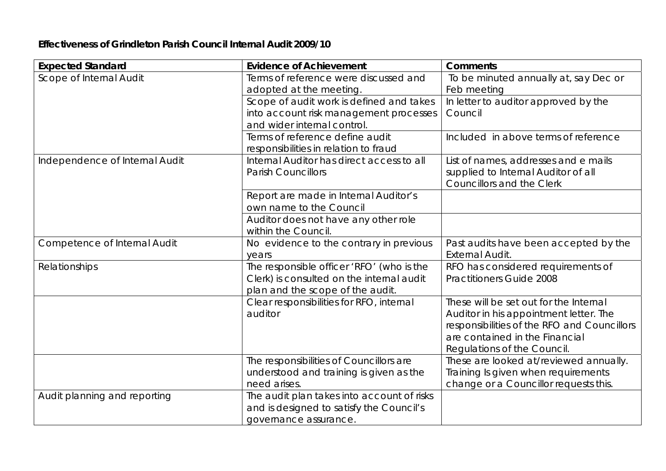#### **Effectiveness of Grindleton Parish Council Internal Audit 2009/10**

| <b>Expected Standard</b>            | <b>Evidence of Achievement</b>             | <b>Comments</b>                             |
|-------------------------------------|--------------------------------------------|---------------------------------------------|
| Scope of Internal Audit             | Terms of reference were discussed and      | To be minuted annually at, say Dec or       |
|                                     | adopted at the meeting.                    | Feb meeting                                 |
|                                     | Scope of audit work is defined and takes   | In letter to auditor approved by the        |
|                                     | into account risk management processes     | Council                                     |
|                                     | and wider internal control.                |                                             |
|                                     | Terms of reference define audit            | Included in above terms of reference        |
|                                     | responsibilities in relation to fraud      |                                             |
| Independence of Internal Audit      | Internal Auditor has direct access to all  | List of names, addresses and e mails        |
|                                     | <b>Parish Councillors</b>                  | supplied to Internal Auditor of all         |
|                                     |                                            | <b>Councillors and the Clerk</b>            |
|                                     | Report are made in Internal Auditor's      |                                             |
|                                     | own name to the Council                    |                                             |
|                                     | Auditor does not have any other role       |                                             |
|                                     | within the Council.                        |                                             |
| <b>Competence of Internal Audit</b> | No evidence to the contrary in previous    | Past audits have been accepted by the       |
|                                     | years                                      | <b>External Audit.</b>                      |
| Relationships                       | The responsible officer 'RFO' (who is the  | RFO has considered requirements of          |
|                                     | Clerk) is consulted on the internal audit  | <b>Practitioners Guide 2008</b>             |
|                                     | plan and the scope of the audit.           |                                             |
|                                     | Clear responsibilities for RFO, internal   | These will be set out for the Internal      |
|                                     | auditor                                    | Auditor in his appointment letter. The      |
|                                     |                                            | responsibilities of the RFO and Councillors |
|                                     |                                            | are contained in the Financial              |
|                                     |                                            | Regulations of the Council.                 |
|                                     | The responsibilities of Councillors are    | These are looked at/reviewed annually.      |
|                                     | understood and training is given as the    | Training Is given when requirements         |
|                                     | need arises.                               | change or a Councillor requests this.       |
| Audit planning and reporting        | The audit plan takes into account of risks |                                             |
|                                     | and is designed to satisfy the Council's   |                                             |
|                                     | governance assurance.                      |                                             |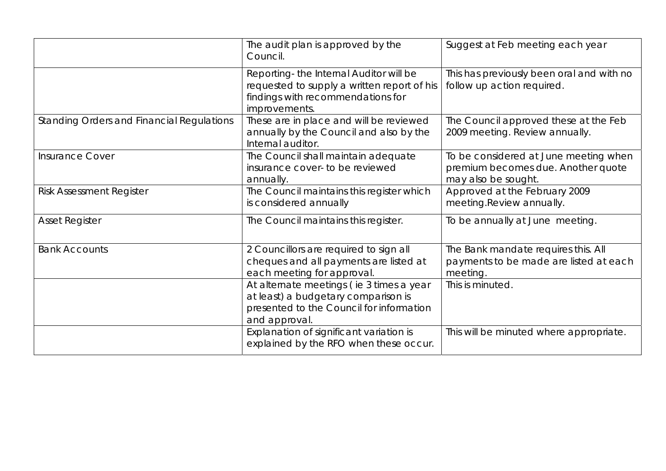|                                                  | The audit plan is approved by the<br>Council.                                                                                                | Suggest at Feb meeting each year                                                                   |
|--------------------------------------------------|----------------------------------------------------------------------------------------------------------------------------------------------|----------------------------------------------------------------------------------------------------|
|                                                  | Reporting- the Internal Auditor will be<br>requested to supply a written report of his<br>findings with recommendations for<br>improvements. | This has previously been oral and with no<br>follow up action required.                            |
| <b>Standing Orders and Financial Regulations</b> | These are in place and will be reviewed<br>annually by the Council and also by the<br>Internal auditor.                                      | The Council approved these at the Feb<br>2009 meeting. Review annually.                            |
| <b>Insurance Cover</b>                           | The Council shall maintain adequate<br>insurance cover- to be reviewed<br>annually.                                                          | To be considered at June meeting when<br>premium becomes due. Another quote<br>may also be sought. |
| <b>Risk Assessment Register</b>                  | The Council maintains this register which<br>is considered annually                                                                          | Approved at the February 2009<br>meeting.Review annually.                                          |
| <b>Asset Register</b>                            | The Council maintains this register.                                                                                                         | To be annually at June meeting.                                                                    |
| <b>Bank Accounts</b>                             | 2 Councillors are required to sign all<br>cheques and all payments are listed at<br>each meeting for approval.                               | The Bank mandate requires this. All<br>payments to be made are listed at each<br>meeting.          |
|                                                  | At alternate meetings (ie 3 times a year<br>at least) a budgetary comparison is<br>presented to the Council for information<br>and approval. | This is minuted.                                                                                   |
|                                                  | Explanation of significant variation is<br>explained by the RFO when these occur.                                                            | This will be minuted where appropriate.                                                            |